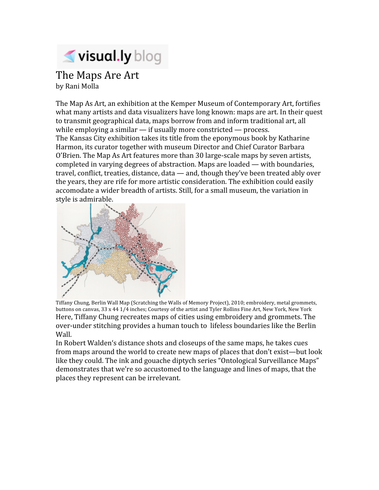

## The Maps Are Art by Rani Molla

The Map As Art, an exhibition at the Kemper Museum of Contemporary Art, fortifies what many artists and data visualizers have long known: maps are art. In their quest to transmit geographical data, maps borrow from and inform traditional art, all while employing a similar  $-$  if usually more constricted  $-$  process. The Kansas City exhibition takes its title from the eponymous book by Katharine Harmon, its curator together with museum Director and Chief Curator Barbara O'Brien. The Map As Art features more than 30 large‐scale maps by seven artists, completed in varying degrees of abstraction. Maps are loaded — with boundaries, travel, conflict, treaties, distance, data — and, though they've been treated ably over the years, they are rife for more artistic consideration. The exhibition could easily accomodate a wider breadth of artists. Still, for a small museum, the variation in style is admirable.



Tiffany Chung, Berlin Wall Map (Scratching the Walls of Memory Project), 2010; embroidery, metal grommets, buttons on canvas, 33 x 44 1/4 inches; Courtesy of the artist and Tyler Rollins Fine Art, New York, New York Here, Tiffany Chung recreates maps of cities using embroidery and grommets. The over‐under stitching provides a human touch to lifeless boundaries like the Berlin Wall.

In Robert Walden's distance shots and closeups of the same maps, he takes cues from maps around the world to create new maps of places that don't exist—but look like they could. The ink and gouache diptych series "Ontological Surveillance Maps" demonstrates that we're so accustomed to the language and lines of maps, that the places they represent can be irrelevant.